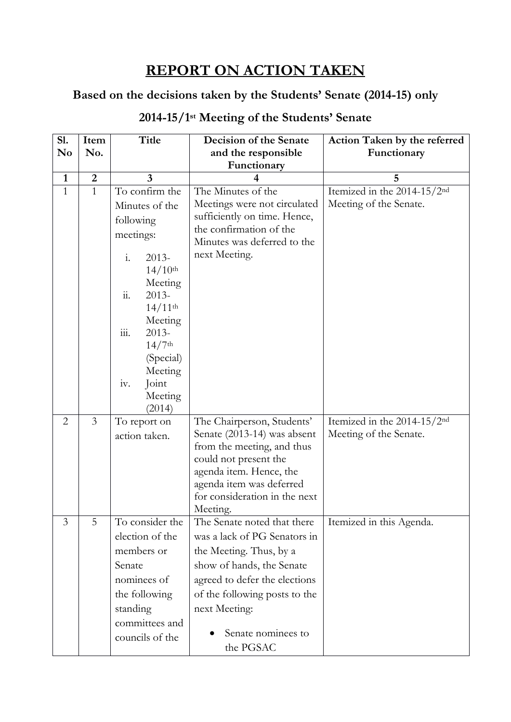## **REPORT ON ACTION TAKEN**

### **Based on the decisions taken by the Students' Senate (2014-15) only**

| S1.            | Item             | <b>Title</b>                          | Decision of the Senate                                    | Action Taken by the referred            |
|----------------|------------------|---------------------------------------|-----------------------------------------------------------|-----------------------------------------|
| No             | No.              |                                       | and the responsible                                       | Functionary                             |
|                |                  |                                       | Functionary                                               |                                         |
| $\mathbf{1}$   | $\boldsymbol{2}$ | $\overline{3}$                        |                                                           | 5                                       |
| $\mathbf{1}$   | $\mathbf{1}$     | To confirm the                        | The Minutes of the                                        | Itemized in the 2014-15/2 <sup>nd</sup> |
|                |                  | Minutes of the                        | Meetings were not circulated                              | Meeting of the Senate.                  |
|                |                  | following                             | sufficiently on time. Hence,                              |                                         |
|                |                  | meetings:                             | the confirmation of the                                   |                                         |
|                |                  |                                       | Minutes was deferred to the                               |                                         |
|                |                  | $\mathbf{i}$ .<br>$2013-$             | next Meeting.                                             |                                         |
|                |                  | $14/10^{th}$                          |                                                           |                                         |
|                |                  | Meeting                               |                                                           |                                         |
|                |                  | $\dddot{a}$ .<br>$2013-$              |                                                           |                                         |
|                |                  | $14/11$ <sup>th</sup>                 |                                                           |                                         |
|                |                  | Meeting<br>$\dddot{111}$ .<br>$2013-$ |                                                           |                                         |
|                |                  | $14/7$ <sup>th</sup>                  |                                                           |                                         |
|                |                  | (Special)                             |                                                           |                                         |
|                |                  | Meeting                               |                                                           |                                         |
|                |                  | iv.<br>Joint                          |                                                           |                                         |
|                |                  | Meeting                               |                                                           |                                         |
|                |                  | (2014)                                |                                                           |                                         |
| $\overline{2}$ | $\mathfrak{Z}$   | To report on                          | The Chairperson, Students'                                | Itemized in the 2014-15/2 <sup>nd</sup> |
|                |                  | action taken.                         | Senate (2013-14) was absent                               | Meeting of the Senate.                  |
|                |                  |                                       | from the meeting, and thus                                |                                         |
|                |                  |                                       | could not present the                                     |                                         |
|                |                  |                                       | agenda item. Hence, the                                   |                                         |
|                |                  |                                       | agenda item was deferred<br>for consideration in the next |                                         |
|                |                  |                                       | Meeting.                                                  |                                         |
| 3              | 5                | To consider the                       | The Senate noted that there                               | Itemized in this Agenda.                |
|                |                  | election of the                       | was a lack of PG Senators in                              |                                         |
|                |                  | members or                            | the Meeting. Thus, by a                                   |                                         |
|                |                  | Senate                                | show of hands, the Senate                                 |                                         |
|                |                  | nominees of                           | agreed to defer the elections                             |                                         |
|                |                  | the following                         | of the following posts to the                             |                                         |
|                |                  | standing                              | next Meeting:                                             |                                         |
|                |                  | committees and                        |                                                           |                                         |
|                |                  | councils of the                       | Senate nominees to                                        |                                         |
|                |                  |                                       | the PGSAC                                                 |                                         |

#### **2014-15/1 st Meeting of the Students' Senate**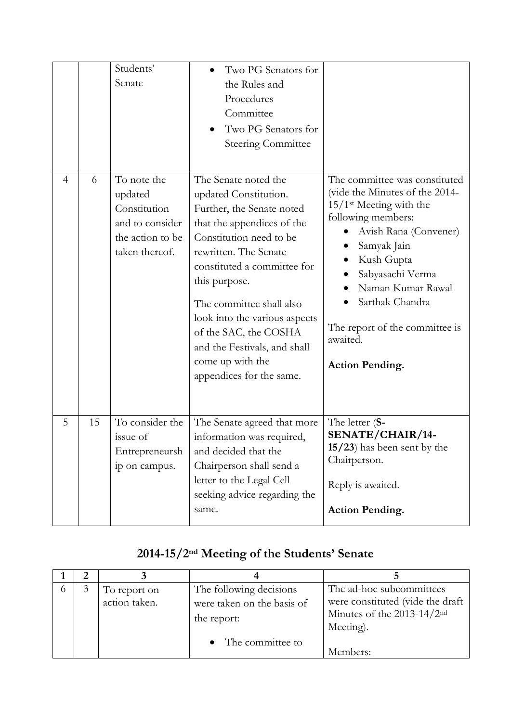|   |    | Students'<br>Senate                                                                             | Two PG Senators for<br>the Rules and<br>Procedures<br>Committee<br>Two PG Senators for<br><b>Steering Committee</b>                                                                                                                                                                                                                                                                |                                                                                                                                                                                                                                                                                                                          |
|---|----|-------------------------------------------------------------------------------------------------|------------------------------------------------------------------------------------------------------------------------------------------------------------------------------------------------------------------------------------------------------------------------------------------------------------------------------------------------------------------------------------|--------------------------------------------------------------------------------------------------------------------------------------------------------------------------------------------------------------------------------------------------------------------------------------------------------------------------|
| 4 | 6  | To note the<br>updated<br>Constitution<br>and to consider<br>the action to be<br>taken thereof. | The Senate noted the<br>updated Constitution.<br>Further, the Senate noted<br>that the appendices of the<br>Constitution need to be<br>rewritten. The Senate<br>constituted a committee for<br>this purpose.<br>The committee shall also<br>look into the various aspects<br>of the SAC, the COSHA<br>and the Festivals, and shall<br>come up with the<br>appendices for the same. | The committee was constituted<br>(vide the Minutes of the 2014-<br>$15/1$ <sup>st</sup> Meeting with the<br>following members:<br>Avish Rana (Convener)<br>Samyak Jain<br>Kush Gupta<br>Sabyasachi Verma<br>Naman Kumar Rawal<br>Sarthak Chandra<br>The report of the committee is<br>awaited.<br><b>Action Pending.</b> |
| 5 | 15 | To consider the<br>issue of<br>Entrepreneursh<br>ip on campus.                                  | The Senate agreed that more<br>information was required,<br>and decided that the<br>Chairperson shall send a<br>letter to the Legal Cell<br>seeking advice regarding the<br>same.                                                                                                                                                                                                  | The letter (S-<br>SENATE/CHAIR/14-<br>15/23) has been sent by the<br>Chairperson.<br>Reply is awaited.<br><b>Action Pending.</b>                                                                                                                                                                                         |

# **2014-15/2nd Meeting of the Students' Senate**

|  | To report on  | The following decisions    | The ad-hoc subcommittees                 |
|--|---------------|----------------------------|------------------------------------------|
|  | action taken. | were taken on the basis of | were constituted (vide the draft         |
|  |               | the report:                | Minutes of the $2013-14/2$ <sup>nd</sup> |
|  |               |                            | Meeting).                                |
|  |               | • The committee to         | Members:                                 |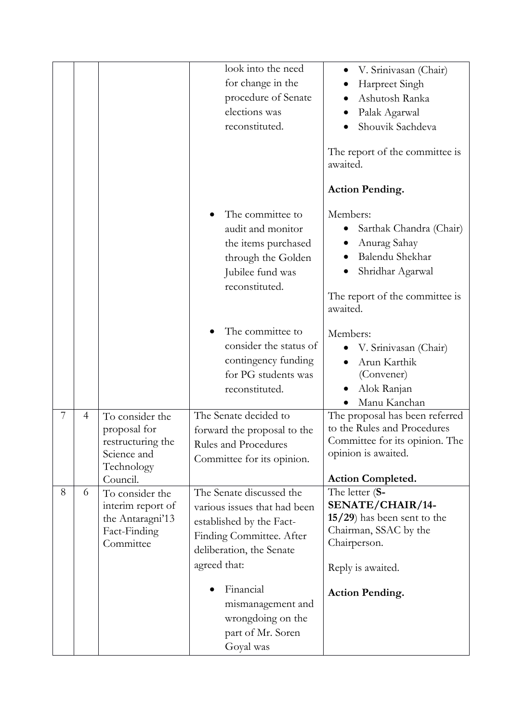|   |   |                                                                                               | look into the need<br>for change in the<br>procedure of Senate<br>elections was<br>reconstituted.                                                            | V. Srinivasan (Chair)<br>Harpreet Singh<br>Ashutosh Ranka<br>Palak Agarwal<br>Shouvik Sachdeva<br>The report of the committee is<br>awaited.<br><b>Action Pending.</b> |
|---|---|-----------------------------------------------------------------------------------------------|--------------------------------------------------------------------------------------------------------------------------------------------------------------|------------------------------------------------------------------------------------------------------------------------------------------------------------------------|
|   |   |                                                                                               | The committee to<br>audit and monitor<br>the items purchased<br>through the Golden<br>Jubilee fund was<br>reconstituted.                                     | Members:<br>Sarthak Chandra (Chair)<br>Anurag Sahay<br>Balendu Shekhar<br>Shridhar Agarwal<br>The report of the committee is<br>awaited.                               |
|   |   |                                                                                               | The committee to<br>consider the status of<br>contingency funding<br>for PG students was<br>reconstituted.                                                   | Members:<br>V. Srinivasan (Chair)<br>Arun Karthik<br>(Convener)<br>Alok Ranjan<br>Manu Kanchan                                                                         |
| 7 | 4 | To consider the<br>proposal for<br>restructuring the<br>Science and<br>Technology<br>Council. | The Senate decided to<br>forward the proposal to the<br>Rules and Procedures<br>Committee for its opinion.                                                   | The proposal has been referred<br>to the Rules and Procedures<br>Committee for its opinion. The<br>opinion is awaited.<br><b>Action Completed.</b>                     |
| 8 | 6 | To consider the<br>interim report of<br>the Antaragni'13<br>Fact-Finding<br>Committee         | The Senate discussed the<br>various issues that had been<br>established by the Fact-<br>Finding Committee. After<br>deliberation, the Senate<br>agreed that: | The letter (S-<br>SENATE/CHAIR/14-<br>$15/29$ ) has been sent to the<br>Chairman, SSAC by the<br>Chairperson.<br>Reply is awaited.                                     |
|   |   |                                                                                               | Financial<br>mismanagement and<br>wrongdoing on the<br>part of Mr. Soren<br>Goyal was                                                                        | <b>Action Pending.</b>                                                                                                                                                 |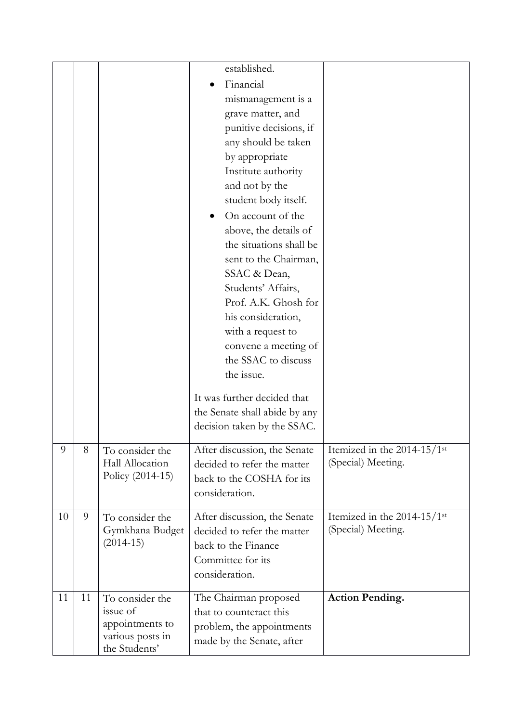|    |    |                                     | established.                                                 |                                           |
|----|----|-------------------------------------|--------------------------------------------------------------|-------------------------------------------|
|    |    |                                     | Financial                                                    |                                           |
|    |    |                                     | mismanagement is a                                           |                                           |
|    |    |                                     | grave matter, and                                            |                                           |
|    |    |                                     | punitive decisions, if                                       |                                           |
|    |    |                                     | any should be taken                                          |                                           |
|    |    |                                     | by appropriate                                               |                                           |
|    |    |                                     | Institute authority                                          |                                           |
|    |    |                                     | and not by the                                               |                                           |
|    |    |                                     | student body itself.                                         |                                           |
|    |    |                                     | On account of the                                            |                                           |
|    |    |                                     | above, the details of                                        |                                           |
|    |    |                                     | the situations shall be                                      |                                           |
|    |    |                                     | sent to the Chairman,                                        |                                           |
|    |    |                                     | SSAC & Dean,                                                 |                                           |
|    |    |                                     | Students' Affairs,                                           |                                           |
|    |    |                                     | Prof. A.K. Ghosh for                                         |                                           |
|    |    |                                     | his consideration,                                           |                                           |
|    |    |                                     | with a request to                                            |                                           |
|    |    |                                     | convene a meeting of                                         |                                           |
|    |    |                                     | the SSAC to discuss                                          |                                           |
|    |    |                                     | the issue.                                                   |                                           |
|    |    |                                     |                                                              |                                           |
|    |    |                                     | It was further decided that                                  |                                           |
|    |    |                                     | the Senate shall abide by any<br>decision taken by the SSAC. |                                           |
|    |    |                                     |                                                              |                                           |
| 9  | 8  | To consider the                     | After discussion, the Senate                                 | Itemized in the $2014-15/1$ <sup>st</sup> |
|    |    | Hall Allocation                     | decided to refer the matter                                  | (Special) Meeting.                        |
|    |    | Policy (2014-15)                    | back to the COSHA for its                                    |                                           |
|    |    |                                     | consideration.                                               |                                           |
| 10 | 9  | To consider the                     | After discussion, the Senate                                 | Itemized in the 2014-15/1st               |
|    |    | Gymkhana Budget                     | decided to refer the matter                                  | (Special) Meeting.                        |
|    |    | $(2014-15)$                         | back to the Finance                                          |                                           |
|    |    |                                     | Committee for its                                            |                                           |
|    |    |                                     | consideration.                                               |                                           |
|    |    |                                     |                                                              |                                           |
| 11 | 11 | To consider the                     | The Chairman proposed                                        | <b>Action Pending.</b>                    |
|    |    | issue of                            | that to counteract this                                      |                                           |
|    |    | appointments to<br>various posts in | problem, the appointments                                    |                                           |
|    |    | the Students'                       | made by the Senate, after                                    |                                           |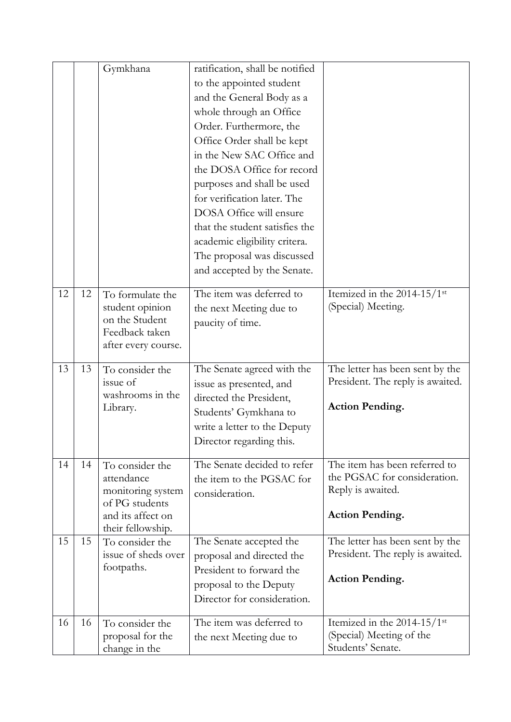|    |    | Gymkhana                                                                                                       | ratification, shall be notified<br>to the appointed student<br>and the General Body as a<br>whole through an Office<br>Order. Furthermore, the<br>Office Order shall be kept<br>in the New SAC Office and<br>the DOSA Office for record<br>purposes and shall be used<br>for verification later. The<br>DOSA Office will ensure<br>that the student satisfies the<br>academic eligibility critera. |                                                                                                              |
|----|----|----------------------------------------------------------------------------------------------------------------|----------------------------------------------------------------------------------------------------------------------------------------------------------------------------------------------------------------------------------------------------------------------------------------------------------------------------------------------------------------------------------------------------|--------------------------------------------------------------------------------------------------------------|
|    |    |                                                                                                                | The proposal was discussed<br>and accepted by the Senate.                                                                                                                                                                                                                                                                                                                                          |                                                                                                              |
| 12 | 12 | To formulate the<br>student opinion<br>on the Student<br>Feedback taken<br>after every course.                 | The item was deferred to<br>the next Meeting due to<br>paucity of time.                                                                                                                                                                                                                                                                                                                            | Itemized in the 2014-15/1st<br>(Special) Meeting.                                                            |
| 13 | 13 | To consider the<br>issue of<br>washrooms in the<br>Library.                                                    | The Senate agreed with the<br>issue as presented, and<br>directed the President,<br>Students' Gymkhana to<br>write a letter to the Deputy<br>Director regarding this.                                                                                                                                                                                                                              | The letter has been sent by the<br>President. The reply is awaited.<br><b>Action Pending.</b>                |
| 14 | 14 | To consider the<br>attendance<br>monitoring system<br>of PG students<br>and its affect on<br>their fellowship. | The Senate decided to refer<br>the item to the PGSAC for<br>consideration.                                                                                                                                                                                                                                                                                                                         | The item has been referred to<br>the PGSAC for consideration.<br>Reply is awaited.<br><b>Action Pending.</b> |
| 15 | 15 | To consider the<br>issue of sheds over<br>footpaths.                                                           | The Senate accepted the<br>proposal and directed the<br>President to forward the<br>proposal to the Deputy<br>Director for consideration.                                                                                                                                                                                                                                                          | The letter has been sent by the<br>President. The reply is awaited.<br><b>Action Pending.</b>                |
| 16 | 16 | To consider the<br>proposal for the<br>change in the                                                           | The item was deferred to<br>the next Meeting due to                                                                                                                                                                                                                                                                                                                                                | Itemized in the 2014-15/1st<br>(Special) Meeting of the<br>Students' Senate.                                 |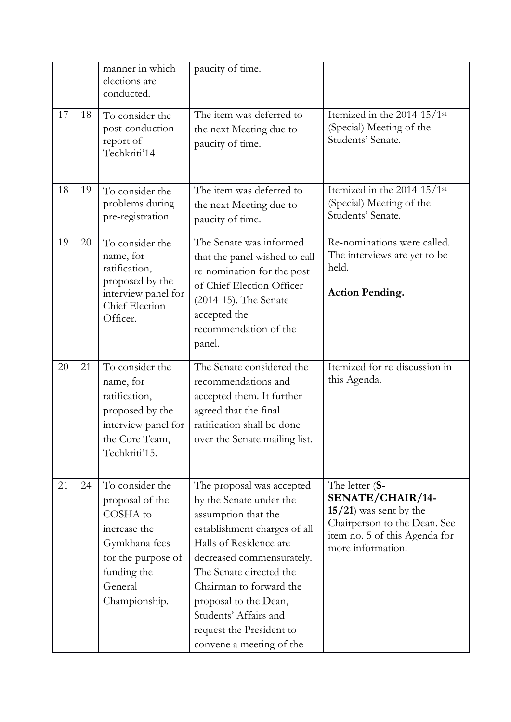|    |    | manner in which<br>elections are<br>conducted.                                                                                                   | paucity of time.                                                                                                                                                                                                                                                                                                                   |                                                                                                                                                       |
|----|----|--------------------------------------------------------------------------------------------------------------------------------------------------|------------------------------------------------------------------------------------------------------------------------------------------------------------------------------------------------------------------------------------------------------------------------------------------------------------------------------------|-------------------------------------------------------------------------------------------------------------------------------------------------------|
| 17 | 18 | To consider the<br>post-conduction<br>report of<br>Techkriti'14                                                                                  | The item was deferred to<br>the next Meeting due to<br>paucity of time.                                                                                                                                                                                                                                                            | Itemized in the 2014-15/1st<br>(Special) Meeting of the<br>Students' Senate.                                                                          |
| 18 | 19 | To consider the<br>problems during<br>pre-registration                                                                                           | The item was deferred to<br>the next Meeting due to<br>paucity of time.                                                                                                                                                                                                                                                            | Itemized in the 2014-15/1st<br>(Special) Meeting of the<br>Students' Senate.                                                                          |
| 19 | 20 | To consider the<br>name, for<br>ratification,<br>proposed by the<br>interview panel for<br>Chief Election<br>Officer.                            | The Senate was informed<br>that the panel wished to call<br>re-nomination for the post<br>of Chief Election Officer<br>(2014-15). The Senate<br>accepted the<br>recommendation of the<br>panel.                                                                                                                                    | Re-nominations were called.<br>The interviews are yet to be<br>held.<br><b>Action Pending.</b>                                                        |
| 20 | 21 | To consider the<br>name, for<br>ratification,<br>proposed by the<br>interview panel for<br>the Core Team,<br>Techkriti'15.                       | The Senate considered the<br>recommendations and<br>accepted them. It further<br>agreed that the final<br>ratification shall be done<br>over the Senate mailing list.                                                                                                                                                              | Itemized for re-discussion in<br>this Agenda.                                                                                                         |
| 21 | 24 | To consider the<br>proposal of the<br>COSHA to<br>increase the<br>Gymkhana fees<br>for the purpose of<br>funding the<br>General<br>Championship. | The proposal was accepted<br>by the Senate under the<br>assumption that the<br>establishment charges of all<br>Halls of Residence are<br>decreased commensurately.<br>The Senate directed the<br>Chairman to forward the<br>proposal to the Dean,<br>Students' Affairs and<br>request the President to<br>convene a meeting of the | The letter (S-<br>SENATE/CHAIR/14-<br>$15/21$ ) was sent by the<br>Chairperson to the Dean. See<br>item no. 5 of this Agenda for<br>more information. |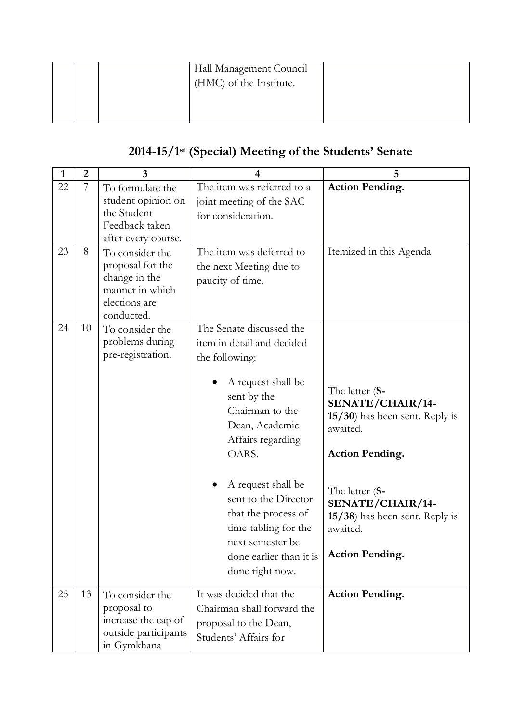|  | Hall Management Council |  |
|--|-------------------------|--|
|  | (HMC) of the Institute. |  |
|  |                         |  |

#### **2014-15/1 st (Special) Meeting of the Students' Senate**

| $\mathbf{1}$ | $\overline{2}$ | $\overline{3}$                                                                                         | 4                                                                                                                                                                                                                                                                                                                                               | 5                                                                                                                                                                                                                        |
|--------------|----------------|--------------------------------------------------------------------------------------------------------|-------------------------------------------------------------------------------------------------------------------------------------------------------------------------------------------------------------------------------------------------------------------------------------------------------------------------------------------------|--------------------------------------------------------------------------------------------------------------------------------------------------------------------------------------------------------------------------|
| 22           | 7              | To formulate the<br>student opinion on<br>the Student<br>Feedback taken<br>after every course.         | The item was referred to a<br>joint meeting of the SAC<br>for consideration.                                                                                                                                                                                                                                                                    | <b>Action Pending.</b>                                                                                                                                                                                                   |
| 23           | 8              | To consider the<br>proposal for the<br>change in the<br>manner in which<br>elections are<br>conducted. | The item was deferred to<br>the next Meeting due to<br>paucity of time.                                                                                                                                                                                                                                                                         | Itemized in this Agenda                                                                                                                                                                                                  |
| 24           | 10             | To consider the<br>problems during<br>pre-registration.                                                | The Senate discussed the<br>item in detail and decided<br>the following:<br>A request shall be<br>sent by the<br>Chairman to the<br>Dean, Academic<br>Affairs regarding<br>OARS.<br>A request shall be<br>sent to the Director<br>that the process of<br>time-tabling for the<br>next semester be<br>done earlier than it is<br>done right now. | The letter (S-<br>SENATE/CHAIR/14-<br>15/30) has been sent. Reply is<br>awaited.<br><b>Action Pending.</b><br>The letter (S-<br>SENATE/CHAIR/14-<br>15/38) has been sent. Reply is<br>awaited.<br><b>Action Pending.</b> |
| 25           | 13             | To consider the<br>proposal to<br>increase the cap of<br>outside participants<br>in Gymkhana           | It was decided that the<br>Chairman shall forward the<br>proposal to the Dean,<br>Students' Affairs for                                                                                                                                                                                                                                         | <b>Action Pending.</b>                                                                                                                                                                                                   |